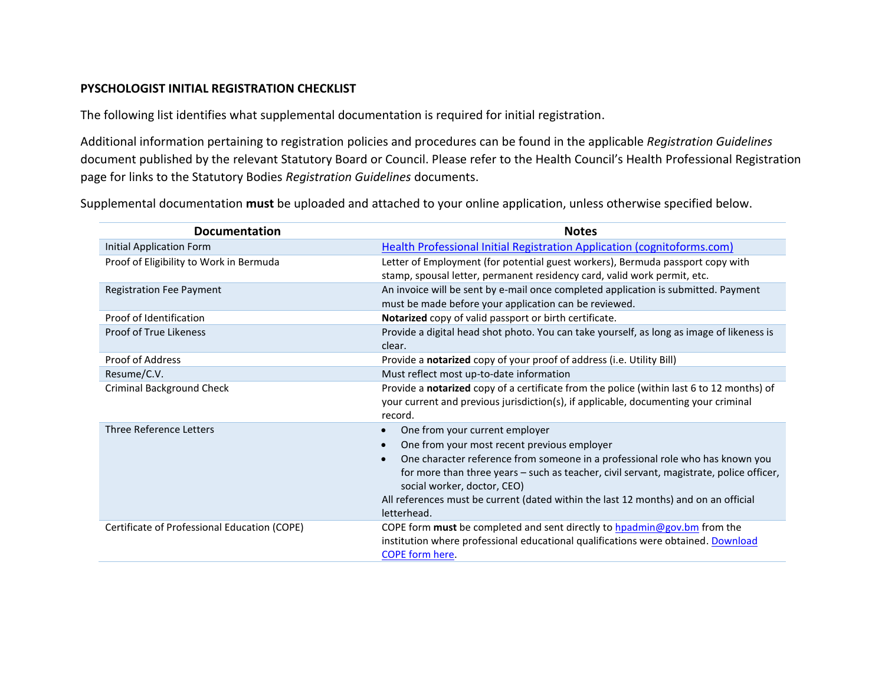## **PYSCHOLOGIST INITIAL REGISTRATION CHECKLIST**

The following list identifies what supplemental documentation is required for initial registration.

Additional information pertaining to registration policies and procedures can be found in the applicable *Registration Guidelines* document published by the relevant Statutory Board or Council. Please refer to the Health Council's Health Professional Registration page for links to the Statutory Bodies *Registration Guidelines* documents.

Supplemental documentation **must** be uploaded and attached to your online application, unless otherwise specified below.

| <b>Documentation</b>                         | <b>Notes</b>                                                                                                                                                                                                                                                                                                                                                                                   |
|----------------------------------------------|------------------------------------------------------------------------------------------------------------------------------------------------------------------------------------------------------------------------------------------------------------------------------------------------------------------------------------------------------------------------------------------------|
| Initial Application Form                     | Health Professional Initial Registration Application (cognitoforms.com)                                                                                                                                                                                                                                                                                                                        |
| Proof of Eligibility to Work in Bermuda      | Letter of Employment (for potential guest workers), Bermuda passport copy with<br>stamp, spousal letter, permanent residency card, valid work permit, etc.                                                                                                                                                                                                                                     |
| <b>Registration Fee Payment</b>              | An invoice will be sent by e-mail once completed application is submitted. Payment<br>must be made before your application can be reviewed.                                                                                                                                                                                                                                                    |
| Proof of Identification                      | Notarized copy of valid passport or birth certificate.                                                                                                                                                                                                                                                                                                                                         |
| <b>Proof of True Likeness</b>                | Provide a digital head shot photo. You can take yourself, as long as image of likeness is<br>clear.                                                                                                                                                                                                                                                                                            |
| <b>Proof of Address</b>                      | Provide a notarized copy of your proof of address (i.e. Utility Bill)                                                                                                                                                                                                                                                                                                                          |
| Resume/C.V.                                  | Must reflect most up-to-date information                                                                                                                                                                                                                                                                                                                                                       |
| <b>Criminal Background Check</b>             | Provide a notarized copy of a certificate from the police (within last 6 to 12 months) of<br>your current and previous jurisdiction(s), if applicable, documenting your criminal<br>record.                                                                                                                                                                                                    |
| Three Reference Letters                      | One from your current employer<br>One from your most recent previous employer<br>One character reference from someone in a professional role who has known you<br>for more than three years - such as teacher, civil servant, magistrate, police officer,<br>social worker, doctor, CEO)<br>All references must be current (dated within the last 12 months) and on an official<br>letterhead. |
| Certificate of Professional Education (COPE) | COPE form must be completed and sent directly to hpadmin@gov.bm from the<br>institution where professional educational qualifications were obtained. Download<br><b>COPE form here.</b>                                                                                                                                                                                                        |